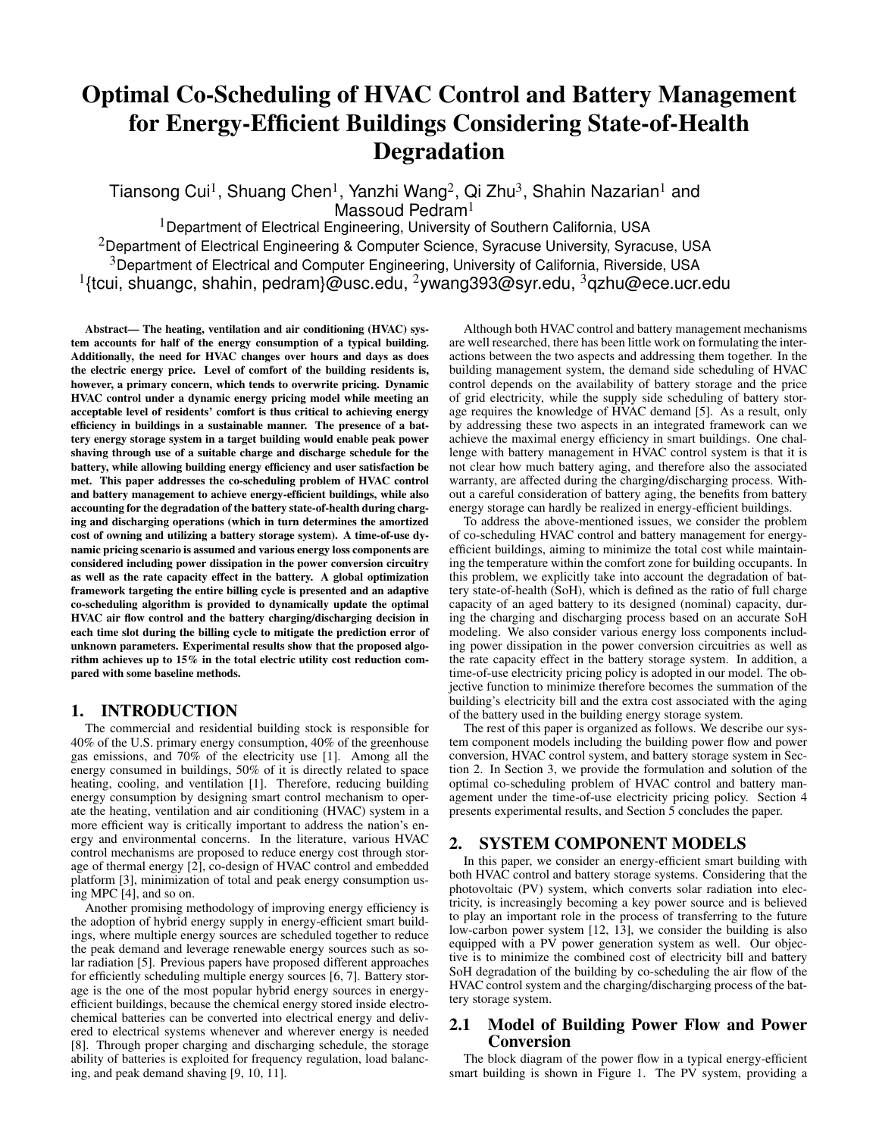# Optimal Co-Scheduling of HVAC Control and Battery Management for Energy-Efficient Buildings Considering State-of-Health Degradation

Tiansong Cui<sup>1</sup>, Shuang Chen<sup>1</sup>, Yanzhi Wang<sup>2</sup>, Qi Zhu<sup>3</sup>, Shahin Nazarian<sup>1</sup> and Massoud Pedram<sup>1</sup>

<sup>1</sup> Department of Electrical Engineering, University of Southern California, USA <sup>2</sup> Department of Electrical Engineering & Computer Science, Syracuse University, Syracuse, USA  $3$ Department of Electrical and Computer Engineering, University of California, Riverside, USA <sup>1</sup>{tcui, shuangc, shahin, pedram}@usc.edu, <sup>2</sup>ywang393@syr.edu, <sup>3</sup>qzhu@ece.ucr.edu

Abstract— The heating, ventilation and air conditioning (HVAC) system accounts for half of the energy consumption of a typical building. Additionally, the need for HVAC changes over hours and days as does the electric energy price. Level of comfort of the building residents is, however, a primary concern, which tends to overwrite pricing. Dynamic HVAC control under a dynamic energy pricing model while meeting an acceptable level of residents' comfort is thus critical to achieving energy efficiency in buildings in a sustainable manner. The presence of a battery energy storage system in a target building would enable peak power shaving through use of a suitable charge and discharge schedule for the battery, while allowing building energy efficiency and user satisfaction be met. This paper addresses the co-scheduling problem of HVAC control and battery management to achieve energy-efficient buildings, while also accounting for the degradation of the battery state-of-health during charging and discharging operations (which in turn determines the amortized cost of owning and utilizing a battery storage system). A time-of-use dynamic pricing scenario is assumed and various energy loss components are considered including power dissipation in the power conversion circuitry as well as the rate capacity effect in the battery. A global optimization framework targeting the entire billing cycle is presented and an adaptive co-scheduling algorithm is provided to dynamically update the optimal HVAC air flow control and the battery charging/discharging decision in each time slot during the billing cycle to mitigate the prediction error of unknown parameters. Experimental results show that the proposed algorithm achieves up to 15% in the total electric utility cost reduction compared with some baseline methods.

# 1. INTRODUCTION

The commercial and residential building stock is responsible for 40% of the U.S. primary energy consumption, 40% of the greenhouse gas emissions, and 70% of the electricity use [1]. Among all the energy consumed in buildings, 50% of it is directly related to space heating, cooling, and ventilation [1]. Therefore, reducing building energy consumption by designing smart control mechanism to operate the heating, ventilation and air conditioning (HVAC) system in a more efficient way is critically important to address the nation's energy and environmental concerns. In the literature, various HVAC control mechanisms are proposed to reduce energy cost through storage of thermal energy [2], co-design of HVAC control and embedded platform [3], minimization of total and peak energy consumption using MPC [4], and so on.

Another promising methodology of improving energy efficiency is the adoption of hybrid energy supply in energy-efficient smart buildings, where multiple energy sources are scheduled together to reduce the peak demand and leverage renewable energy sources such as solar radiation [5]. Previous papers have proposed different approaches for efficiently scheduling multiple energy sources [6, 7]. Battery storage is the one of the most popular hybrid energy sources in energyefficient buildings, because the chemical energy stored inside electrochemical batteries can be converted into electrical energy and delivered to electrical systems whenever and wherever energy is needed [8]. Through proper charging and discharging schedule, the storage ability of batteries is exploited for frequency regulation, load balancing, and peak demand shaving [9, 10, 11].

Although both HVAC control and battery management mechanisms are well researched, there has been little work on formulating the interactions between the two aspects and addressing them together. In the building management system, the demand side scheduling of HVAC control depends on the availability of battery storage and the price of grid electricity, while the supply side scheduling of battery storage requires the knowledge of HVAC demand [5]. As a result, only by addressing these two aspects in an integrated framework can we achieve the maximal energy efficiency in smart buildings. One challenge with battery management in HVAC control system is that it is not clear how much battery aging, and therefore also the associated warranty, are affected during the charging/discharging process. Without a careful consideration of battery aging, the benefits from battery energy storage can hardly be realized in energy-efficient buildings.

To address the above-mentioned issues, we consider the problem of co-scheduling HVAC control and battery management for energyefficient buildings, aiming to minimize the total cost while maintaining the temperature within the comfort zone for building occupants. In this problem, we explicitly take into account the degradation of battery state-of-health (SoH), which is defined as the ratio of full charge capacity of an aged battery to its designed (nominal) capacity, during the charging and discharging process based on an accurate SoH modeling. We also consider various energy loss components including power dissipation in the power conversion circuitries as well as the rate capacity effect in the battery storage system. In addition, a time-of-use electricity pricing policy is adopted in our model. The objective function to minimize therefore becomes the summation of the building's electricity bill and the extra cost associated with the aging of the battery used in the building energy storage system.

The rest of this paper is organized as follows. We describe our system component models including the building power flow and power conversion, HVAC control system, and battery storage system in Section 2. In Section 3, we provide the formulation and solution of the optimal co-scheduling problem of HVAC control and battery management under the time-of-use electricity pricing policy. Section 4 presents experimental results, and Section 5 concludes the paper.

# 2. SYSTEM COMPONENT MODELS

In this paper, we consider an energy-efficient smart building with both HVAC control and battery storage systems. Considering that the photovoltaic (PV) system, which converts solar radiation into electricity, is increasingly becoming a key power source and is believed to play an important role in the process of transferring to the future low-carbon power system [12, 13], we consider the building is also equipped with a PV power generation system as well. Our objective is to minimize the combined cost of electricity bill and battery SoH degradation of the building by co-scheduling the air flow of the HVAC control system and the charging/discharging process of the battery storage system.

# 2.1 Model of Building Power Flow and Power Conversion

The block diagram of the power flow in a typical energy-efficient smart building is shown in Figure 1. The PV system, providing a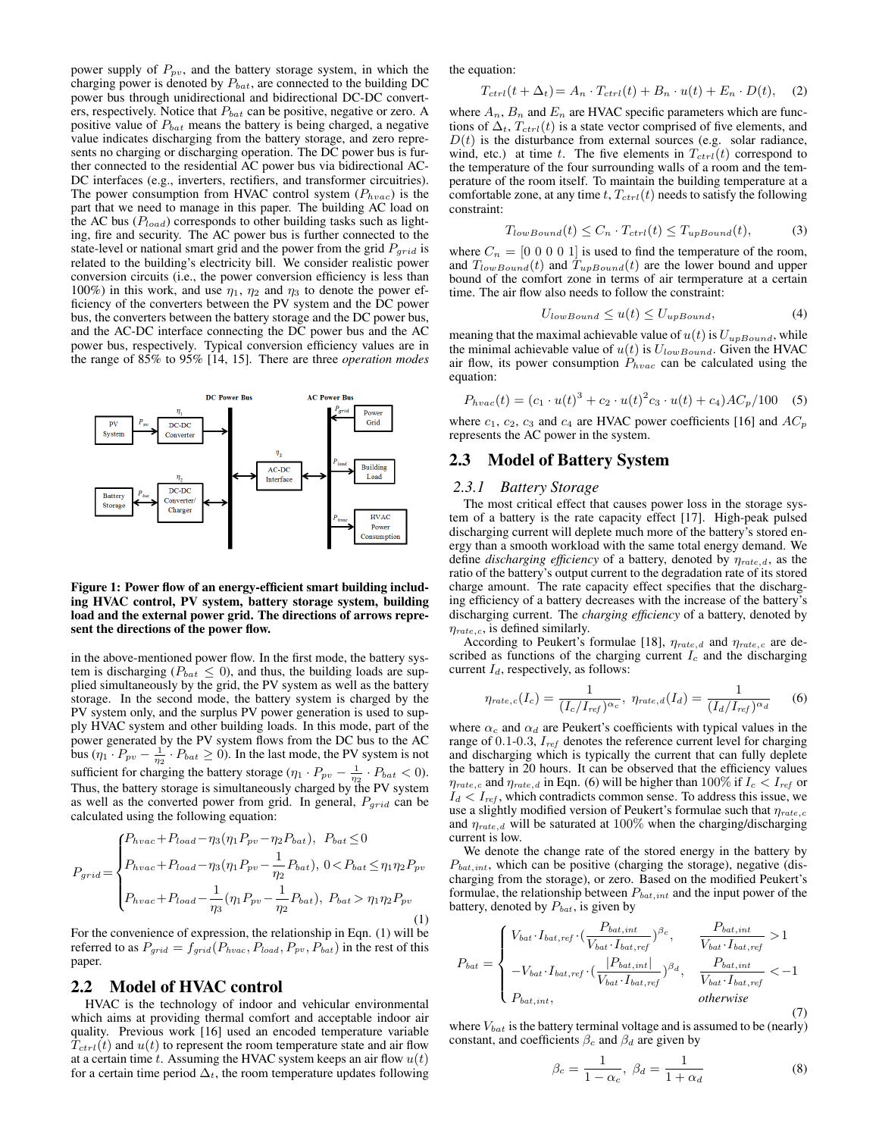power supply of  $P_{pv}$ , and the battery storage system, in which the charging power is denoted by  $P_{bat}$ , are connected to the building DC power bus through unidirectional and bidirectional DC-DC converters, respectively. Notice that  $P_{bat}$  can be positive, negative or zero. A positive value of  $P_{bat}$  means the battery is being charged, a negative value indicates discharging from the battery storage, and zero represents no charging or discharging operation. The DC power bus is further connected to the residential AC power bus via bidirectional AC-DC interfaces (e.g., inverters, rectifiers, and transformer circuitries). The power consumption from HVAC control system  $(P_{hvac})$  is the part that we need to manage in this paper. The building AC load on the AC bus ( $P_{load}$ ) corresponds to other building tasks such as lighting, fire and security. The AC power bus is further connected to the state-level or national smart grid and the power from the grid  $P_{grid}$  is related to the building's electricity bill. We consider realistic power conversion circuits (i.e., the power conversion efficiency is less than 100%) in this work, and use  $\eta_1$ ,  $\eta_2$  and  $\eta_3$  to denote the power efficiency of the converters between the PV system and the DC power bus, the converters between the battery storage and the DC power bus, and the AC-DC interface connecting the DC power bus and the AC power bus, respectively. Typical conversion efficiency values are in the range of 85% to 95% [14, 15]. There are three *operation modes*



Figure 1: Power flow of an energy-efficient smart building including HVAC control, PV system, battery storage system, building load and the external power grid. The directions of arrows represent the directions of the power flow.

in the above-mentioned power flow. In the first mode, the battery system is discharging ( $P_{bat} \leq 0$ ), and thus, the building loads are supplied simultaneously by the grid, the PV system as well as the battery storage. In the second mode, the battery system is charged by the PV system only, and the surplus PV power generation is used to supply HVAC system and other building loads. In this mode, part of the power generated by the PV system flows from the DC bus to the AC bus  $(\eta_1 \cdot P_{pv} - \frac{1}{\eta_2} \cdot P_{bat} \ge 0)$ . In the last mode, the PV system is not sufficient for charging the battery storage  $(\eta_1 \cdot P_{pv} - \frac{1}{\eta_2} \cdot P_{bat} < 0)$ . Thus, the battery storage is simultaneously charged by the PV system as well as the converted power from grid. In general,  $P_{grid}$  can be calculated using the following equation:

$$
P_{grid} = \begin{cases} P_{hvac} + P_{load} - \eta_3(\eta_1 P_{pv} - \eta_2 P_{bat}), & P_{bat} \le 0 \\ P_{hvac} + P_{load} - \eta_3(\eta_1 P_{pv} - \frac{1}{\eta_2} P_{bat}), & 0 < P_{bat} \le \eta_1 \eta_2 P_{pv} \\ P_{hvac} + P_{load} - \frac{1}{\eta_3}(\eta_1 P_{pv} - \frac{1}{\eta_2} P_{bat}), & P_{bat} > \eta_1 \eta_2 P_{pv} \end{cases}
$$
(1)

For the convenience of expression, the relationship in Eqn. (1) will be referred to as  $P_{grid} = f_{grid}(P_{hvac}, P_{load}, P_{pv}, P_{bat})$  in the rest of this paper.

# 2.2 Model of HVAC control

HVAC is the technology of indoor and vehicular environmental which aims at providing thermal comfort and acceptable indoor air quality. Previous work [16] used an encoded temperature variable  $T_{ctrl}(t)$  and  $u(t)$  to represent the room temperature state and air flow at a certain time t. Assuming the HVAC system keeps an air flow  $u(t)$ for a certain time period  $\Delta_t$ , the room temperature updates following the equation:

$$
T_{ctrl}(t + \Delta_t) = A_n \cdot T_{ctrl}(t) + B_n \cdot u(t) + E_n \cdot D(t), \quad (2)
$$

where  $A_n$ ,  $B_n$  and  $E_n$  are HVAC specific parameters which are functions of  $\Delta_t$ ,  $T_{ctrl}(t)$  is a state vector comprised of five elements, and  $D(t)$  is the disturbance from external sources (e.g. solar radiance, wind, etc.) at time t. The five elements in  $T_{ctrl}(t)$  correspond to the temperature of the four surrounding walls of a room and the temperature of the room itself. To maintain the building temperature at a comfortable zone, at any time t,  $T_{ctrl}(t)$  needs to satisfy the following constraint:

$$
T_{lowBound}(t) \le C_n \cdot T_{ctrl}(t) \le T_{upBound}(t), \tag{3}
$$

where  $C_n = [0 \ 0 \ 0 \ 0 \ 1]$  is used to find the temperature of the room, and  $T_{lowBound}(t)$  and  $T_{upBound}(t)$  are the lower bound and upper bound of the comfort zone in terms of air termperature at a certain time. The air flow also needs to follow the constraint:

$$
U_{lowBound} \le u(t) \le U_{upBound},\tag{4}
$$

meaning that the maximal achievable value of  $u(t)$  is  $U_{upBound}$ , while the minimal achievable value of  $u(t)$  is  $U_{lowBound}$ . Given the HVAC air flow, its power consumption  $P_{hvac}$  can be calculated using the equation:

$$
P_{hvac}(t) = (c_1 \cdot u(t)^3 + c_2 \cdot u(t)^2 c_3 \cdot u(t) + c_4) A C_p / 100 \quad (5)
$$

where  $c_1$ ,  $c_2$ ,  $c_3$  and  $c_4$  are HVAC power coefficients [16] and  $AC_p$ represents the AC power in the system.

#### 2.3 Model of Battery System

#### *2.3.1 Battery Storage*

The most critical effect that causes power loss in the storage system of a battery is the rate capacity effect [17]. High-peak pulsed discharging current will deplete much more of the battery's stored energy than a smooth workload with the same total energy demand. We define *discharging efficiency* of a battery, denoted by  $\eta_{rate,d}$ , as the ratio of the battery's output current to the degradation rate of its stored charge amount. The rate capacity effect specifies that the discharging efficiency of a battery decreases with the increase of the battery's discharging current. The *charging efficiency* of a battery, denoted by  $\eta_{rate,c}$ , is defined similarly.

According to Peukert's formulae [18],  $\eta_{rate,d}$  and  $\eta_{rate,c}$  are described as functions of the charging current  $I_c$  and the discharging current  $I_d$ , respectively, as follows:

$$
\eta_{rate,c}(I_c) = \frac{1}{(I_c/I_{ref})^{\alpha_c}}, \ \eta_{rate,d}(I_d) = \frac{1}{(I_d/I_{ref})^{\alpha_d}} \qquad (6)
$$

where  $\alpha_c$  and  $\alpha_d$  are Peukert's coefficients with typical values in the range of  $0.1$ - $0.3$ ,  $I_{ref}$  denotes the reference current level for charging and discharging which is typically the current that can fully deplete the battery in 20 hours. It can be observed that the efficiency values  $\eta_{rate,c}$  and  $\eta_{rate,d}$  in Eqn. (6) will be higher than 100% if  $I_c < I_{ref}$  or  $I_d < I_{ref}$ , which contradicts common sense. To address this issue, we use a slightly modified version of Peukert's formulae such that  $\eta_{rate,c}$ and  $\eta_{rate,d}$  will be saturated at 100% when the charging/discharging current is low.

We denote the change rate of the stored energy in the battery by  $P_{bat, int}$ , which can be positive (charging the storage), negative (discharging from the storage), or zero. Based on the modified Peukert's formulae, the relationship between  $P_{bat, int}$  and the input power of the battery, denoted by  $P_{bat}$ , is given by

$$
P_{bat} = \begin{cases} V_{bat} \cdot I_{bat,ref} \cdot (\frac{P_{bat,int}}{V_{bat} \cdot I_{bat,ref}})^{\beta_c}, & \frac{P_{bat,int}}{V_{bat} \cdot I_{bat,ref}} > 1 \\ -V_{bat} \cdot I_{bat,ref} \cdot (\frac{|P_{bat,int}|}{V_{bat} \cdot I_{bat,ref}})^{\beta_d}, & \frac{P_{bat,int}}{V_{bat} \cdot I_{bat,ref}} < -1 \\ P_{bat,int}, & otherwise \end{cases}
$$
(7)

where  $V_{bat}$  is the battery terminal voltage and is assumed to be (nearly) constant, and coefficients  $\beta_c$  and  $\beta_d$  are given by

$$
\beta_c = \frac{1}{1 - \alpha_c}, \ \beta_d = \frac{1}{1 + \alpha_d} \tag{8}
$$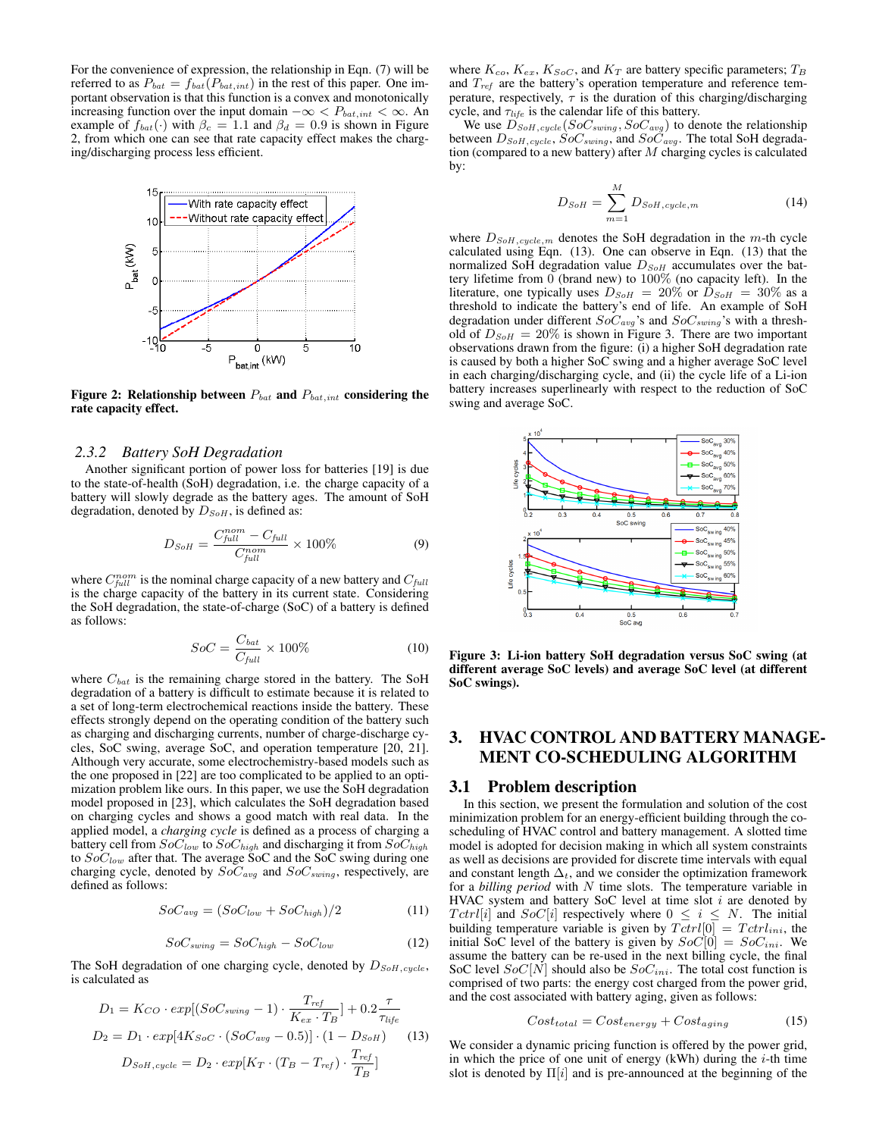For the convenience of expression, the relationship in Eqn. (7) will be referred to as  $P_{bat} = f_{bat}(P_{bat,int})$  in the rest of this paper. One important observation is that this function is a convex and monotonically increasing function over the input domain  $-\infty$  <  $P_{bat, int}$  <  $\infty$ . An example of  $f_{bat}(\cdot)$  with  $\beta_c = 1.1$  and  $\beta_d = 0.9$  is shown in Figure 2, from which one can see that rate capacity effect makes the charging/discharging process less efficient.



Figure 2: Relationship between  $P_{bat}$  and  $P_{bat,int}$  considering the rate capacity effect.

# *2.3.2 Battery SoH Degradation*

Another significant portion of power loss for batteries [19] is due to the state-of-health (SoH) degradation, i.e. the charge capacity of a battery will slowly degrade as the battery ages. The amount of SoH degradation, denoted by  $D_{SoH}$ , is defined as:

$$
D_{SoH} = \frac{C_{full}^{nom} - C_{full}}{C_{full}^{nom}} \times 100\%
$$
 (9)

where  $C_{full}^{nom}$  is the nominal charge capacity of a new battery and  $C_{full}$ is the charge capacity of the battery in its current state. Considering the SoH degradation, the state-of-charge (SoC) of a battery is defined as follows:

$$
SoC = \frac{C_{bat}}{C_{full}} \times 100\%
$$
 (10)

where  $C_{bat}$  is the remaining charge stored in the battery. The SoH degradation of a battery is difficult to estimate because it is related to a set of long-term electrochemical reactions inside the battery. These effects strongly depend on the operating condition of the battery such as charging and discharging currents, number of charge-discharge cycles, SoC swing, average SoC, and operation temperature [20, 21]. Although very accurate, some electrochemistry-based models such as the one proposed in [22] are too complicated to be applied to an optimization problem like ours. In this paper, we use the SoH degradation model proposed in [23], which calculates the SoH degradation based on charging cycles and shows a good match with real data. In the applied model, a *charging cycle* is defined as a process of charging a battery cell from  $SoC_{low}$  to  $SoC_{high}$  and discharging it from  $SoC_{high}$ to  $SoC_{low}$  after that. The average SoC and the SoC swing during one charging cycle, denoted by  $SoC_{avg}$  and  $SoC_{swing}$ , respectively, are defined as follows:

$$
SoC_{avg} = (SoC_{low} + SoC_{high})/2
$$
\n(11)

$$
SoC_{swing} = SoC_{high} - SoC_{low} \tag{12}
$$

The SoH degradation of one charging cycle, denoted by  $D_{SoH, cycle}$ , is calculated as

$$
D_1 = K_{CO} \cdot exp[(SoC_{swing} - 1) \cdot \frac{T_{ref}}{K_{ex} \cdot T_B}] + 0.2 \frac{\tau}{\tau_{life}}
$$
  
\n
$$
D_2 = D_1 \cdot exp[4K_{SoC} \cdot (SoC_{avg} - 0.5)] \cdot (1 - D_{SoH})
$$
 (13)  
\n
$$
D_{SoH,cycle} = D_2 \cdot exp[K_T \cdot (T_B - T_{ref}) \cdot \frac{T_{ref}}{T_B}]
$$

where  $K_{co}$ ,  $K_{ex}$ ,  $K_{SoC}$ , and  $K_T$  are battery specific parameters;  $T_B$ and  $T_{ref}$  are the battery's operation temperature and reference temperature, respectively,  $\tau$  is the duration of this charging/discharging cycle, and  $\tau_{life}$  is the calendar life of this battery.

We use  $\tilde{D}_{Soft, cycle} (SoC_{swing}, SoC_{avg})$  to denote the relationship between  $D_{SoH,cycle}$ ,  $SoC_{swing}$ , and  $SoC_{avg}$ . The total SoH degradation (compared to a new battery) after  $M$  charging cycles is calculated by:

$$
D_{SoH} = \sum_{m=1}^{M} D_{SoH,cycle,m} \tag{14}
$$

where  $D_{SoH,cycle,m}$  denotes the SoH degradation in the m-th cycle calculated using Eqn. (13). One can observe in Eqn. (13) that the normalized SoH degradation value  $D_{SoH}$  accumulates over the battery lifetime from 0 (brand new) to 100% (no capacity left). In the literature, one typically uses  $D_{SoH} = 20\%$  or  $\bar{D}_{SoH} = 30\%$  as a threshold to indicate the battery's end of life. An example of SoH degradation under different  $SoC_{avg}$ 's and  $SoC_{swing}$ 's with a threshold of  $D_{SoH} = 20\%$  is shown in Figure 3. There are two important observations drawn from the figure: (i) a higher SoH degradation rate is caused by both a higher SoC swing and a higher average SoC level in each charging/discharging cycle, and (ii) the cycle life of a Li-ion battery increases superlinearly with respect to the reduction of SoC swing and average SoC.



Figure 3: Li-ion battery SoH degradation versus SoC swing (at different average SoC levels) and average SoC level (at different SoC swings).

# 3. HVAC CONTROL AND BATTERY MANAGE-MENT CO-SCHEDULING ALGORITHM

#### 3.1 Problem description

In this section, we present the formulation and solution of the cost minimization problem for an energy-efficient building through the coscheduling of HVAC control and battery management. A slotted time model is adopted for decision making in which all system constraints as well as decisions are provided for discrete time intervals with equal and constant length  $\Delta_t$ , and we consider the optimization framework for a *billing period* with N time slots. The temperature variable in HVAC system and battery SoC level at time slot  $i$  are denoted by  $Tctr[i]$  and  $SoC[i]$  respectively where  $0 \le i \le N$ . The initial building temperature variable is given by  $Tctr1[0] = Tctr1_{ini}$ , the initial SoC level of the battery is given by  $SoC[0] = SoC_{ini}$ . We assume the battery can be re-used in the next billing cycle, the final SoC level  $SoC[N]$  should also be  $SoC_{ini}$ . The total cost function is comprised of two parts: the energy cost charged from the power grid, and the cost associated with battery aging, given as follows:

$$
Cost_{total} = Cost_{energy} + Cost_{aging}
$$
 (15)

We consider a dynamic pricing function is offered by the power grid, in which the price of one unit of energy (kWh) during the  $i$ -th time slot is denoted by  $\Pi[i]$  and is pre-announced at the beginning of the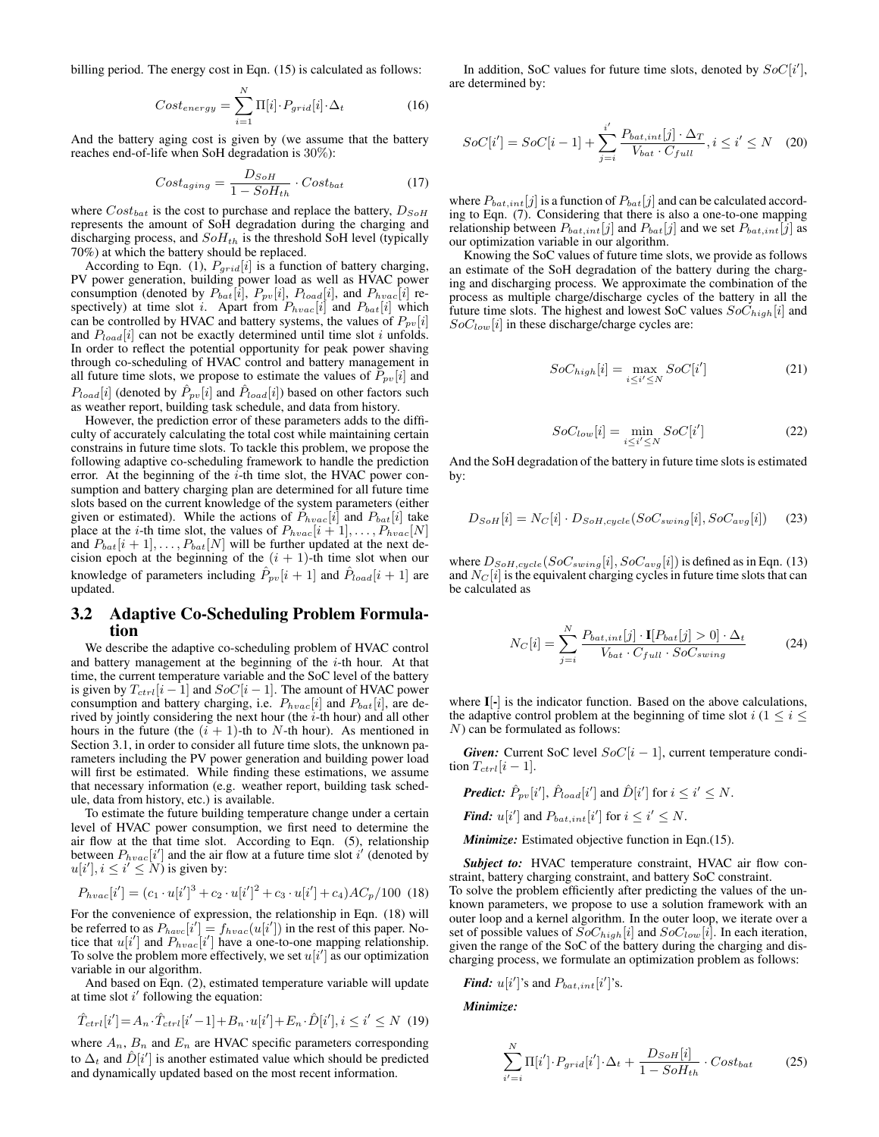billing period. The energy cost in Eqn. (15) is calculated as follows:

$$
Cost_{energy} = \sum_{i=1}^{N} \Pi[i] \cdot P_{grid}[i] \cdot \Delta_t \tag{16}
$$

And the battery aging cost is given by (we assume that the battery reaches end-of-life when SoH degradation is 30%):

$$
Cost_{aging} = \frac{D_{SoH}}{1 - SoH_{th}} \cdot Cost_{bat}
$$
 (17)

where  $Cost_{bat}$  is the cost to purchase and replace the battery,  $D_{SoH}$ represents the amount of SoH degradation during the charging and discharging process, and  $SoH_{th}$  is the threshold SoH level (typically 70%) at which the battery should be replaced.

According to Eqn. (1),  $P_{grid}[i]$  is a function of battery charging, PV power generation, building power load as well as HVAC power consumption (denoted by  $P_{bat}[i]$ ,  $P_{pv}[i]$ ,  $P_{load}[i]$ , and  $P_{hvac}[i]$  respectively) at time slot *i*. Apart from  $P_{hvac}[i]$  and  $P_{bat}[i]$  which can be controlled by HVAC and battery systems, the values of  $P_{pv}[i]$ and  $P_{load}[i]$  can not be exactly determined until time slot i unfolds. In order to reflect the potential opportunity for peak power shaving through co-scheduling of HVAC control and battery management in all future time slots, we propose to estimate the values of  $P_{pv}[i]$  and  $P_{load}[i]$  (denoted by  $P_{pv}[i]$  and  $P_{load}[i]$ ) based on other factors such as weather report, building task schedule, and data from history.

However, the prediction error of these parameters adds to the difficulty of accurately calculating the total cost while maintaining certain constrains in future time slots. To tackle this problem, we propose the following adaptive co-scheduling framework to handle the prediction error. At the beginning of the  $i$ -th time slot, the HVAC power consumption and battery charging plan are determined for all future time slots based on the current knowledge of the system parameters (either given or estimated). While the actions of  $P_{hvac}[i]$  and  $P_{bat}[i]$  take place at the *i*-th time slot, the values of  $P_{hvac}[i + 1], \ldots, P_{hvac}[N]$ and  $P_{bat}[i + 1], \ldots, P_{bat}[N]$  will be further updated at the next decision epoch at the beginning of the  $(i + 1)$ -th time slot when our knowledge of parameters including  $\hat{P}_{pv}[i+1]$  and  $\hat{P}_{load}[i+1]$  are updated.

### 3.2 Adaptive Co-Scheduling Problem Formulation

We describe the adaptive co-scheduling problem of HVAC control and battery management at the beginning of the  $i$ -th hour. At that time, the current temperature variable and the SoC level of the battery is given by  $T_{ctrl}[i - 1]$  and  $SoC[i - 1]$ . The amount of HVAC power consumption and battery charging, i.e.  $P_{hvac}[i]$  and  $P_{bat}[i]$ , are derived by jointly considering the next hour (the  $i$ -th hour) and all other hours in the future (the  $(i + 1)$ -th to N-th hour). As mentioned in Section 3.1, in order to consider all future time slots, the unknown parameters including the PV power generation and building power load will first be estimated. While finding these estimations, we assume that necessary information (e.g. weather report, building task schedule, data from history, etc.) is available.

To estimate the future building temperature change under a certain level of HVAC power consumption, we first need to determine the air flow at the that time slot. According to Eqn. (5), relationship between  $P_{hvac}[i']$  and the air flow at a future time slot i' (denoted by  $u[i'], i \leq i' \leq N$ ) is given by:

$$
P_{hvac}[i'] = (c_1 \cdot u[i']^3 + c_2 \cdot u[i']^2 + c_3 \cdot u[i'] + c_4)AC_p/100
$$
 (18)

For the convenience of expression, the relationship in Eqn. (18) will be referred to as  $P_{have}[i'] = f_{hvac}(u[i'])$  in the rest of this paper. Notice that  $u[i']$  and  $P_{hvac}[i']$  have a one-to-one mapping relationship. To solve the problem more effectively, we set  $u[i']$  as our optimization variable in our algorithm.

And based on Eqn. (2), estimated temperature variable will update at time slot  $i'$  following the equation:

$$
\hat{T}_{ctrl}[i'] = A_n \cdot \hat{T}_{ctrl}[i'-1] + B_n \cdot u[i'] + E_n \cdot \hat{D}[i'], i \leq i' \leq N \tag{19}
$$

where  $A_n$ ,  $B_n$  and  $E_n$  are HVAC specific parameters corresponding to  $\Delta_t$  and  $\hat{D}[i']$  is another estimated value which should be predicted and dynamically updated based on the most recent information.

In addition, SoC values for future time slots, denoted by  $SoC[i'],$ are determined by:

$$
SoC[i'] = SoC[i-1] + \sum_{j=i}^{i'} \frac{P_{bat, int}[j] \cdot \Delta_T}{V_{bat} \cdot C_{full}}, i \leq i' \leq N \quad (20)
$$

where  $P_{bat, int}[j]$  is a function of  $P_{bat}[j]$  and can be calculated according to Eqn. (7). Considering that there is also a one-to-one mapping relationship between  $P_{bat, int}[j]$  and  $P_{bat}[j]$  and we set  $P_{bat, int}[j]$  as our optimization variable in our algorithm.

Knowing the SoC values of future time slots, we provide as follows an estimate of the SoH degradation of the battery during the charging and discharging process. We approximate the combination of the process as multiple charge/discharge cycles of the battery in all the future time slots. The highest and lowest SoC values  $SoC_{high}[i]$  and  $SoC_{low}[i]$  in these discharge/charge cycles are:

$$
SoC_{high}[i] = \max_{i \le i' \le N} SoC[i'] \tag{21}
$$

$$
SoC_{low}[i] = \min_{i \le i' \le N} SoC[i'] \tag{22}
$$

And the SoH degradation of the battery in future time slots is estimated by:

$$
D_{SoH}[i] = N_C[i] \cdot D_{SoH,cycle}(SoC_{swing}[i], SoC_{avg}[i]) \tag{23}
$$

where  $D_{SoH,cycle}(SoC_{swing}[i], SoC_{avg}[i])$  is defined as in Eqn. (13) and  $N_c[i]$  is the equivalent charging cycles in future time slots that can be calculated as

$$
N_C[i] = \sum_{j=i}^{N} \frac{P_{bat, int}[j] \cdot \mathbf{I}[P_{bat}[j] > 0] \cdot \Delta_t}{V_{bat} \cdot C_{full} \cdot SoC_{swing}}
$$
(24)

where I<sup>[-]</sup> is the indicator function. Based on the above calculations, the adaptive control problem at the beginning of time slot  $i$  ( $1 \le i \le$  $N$ ) can be formulated as follows:

*Given:* Current SoC level  $SoC[i - 1]$ , current temperature condition  $T_{ctrl}[i - 1]$ .

**Predict:**  $\hat{P}_{pv}[i'], \hat{P}_{load}[i']$  and  $\hat{D}[i']$  for  $i \leq i' \leq N$ .

*Find:*  $u[i']$  and  $P_{bat, int}[i']$  for  $i \leq i' \leq N$ .

*Minimize:* Estimated objective function in Eqn.(15).

*Subject to:* HVAC temperature constraint, HVAC air flow constraint, battery charging constraint, and battery SoC constraint. To solve the problem efficiently after predicting the values of the unknown parameters, we propose to use a solution framework with an outer loop and a kernel algorithm. In the outer loop, we iterate over a set of possible values of  $SoC_{high}[i]$  and  $SoC_{low}[i]$ . In each iteration, given the range of the SoC of the battery during the charging and discharging process, we formulate an optimization problem as follows:

*Find:*  $u[i']$ 's and  $P_{bat, int}[i']$ 's.

*Minimize:*

$$
\sum_{i'=i}^{N} \Pi[i'] \cdot P_{grid}[i'] \cdot \Delta_t + \frac{D_{SoH}[i]}{1 - SoH_{th}} \cdot Cost_{bat} \tag{25}
$$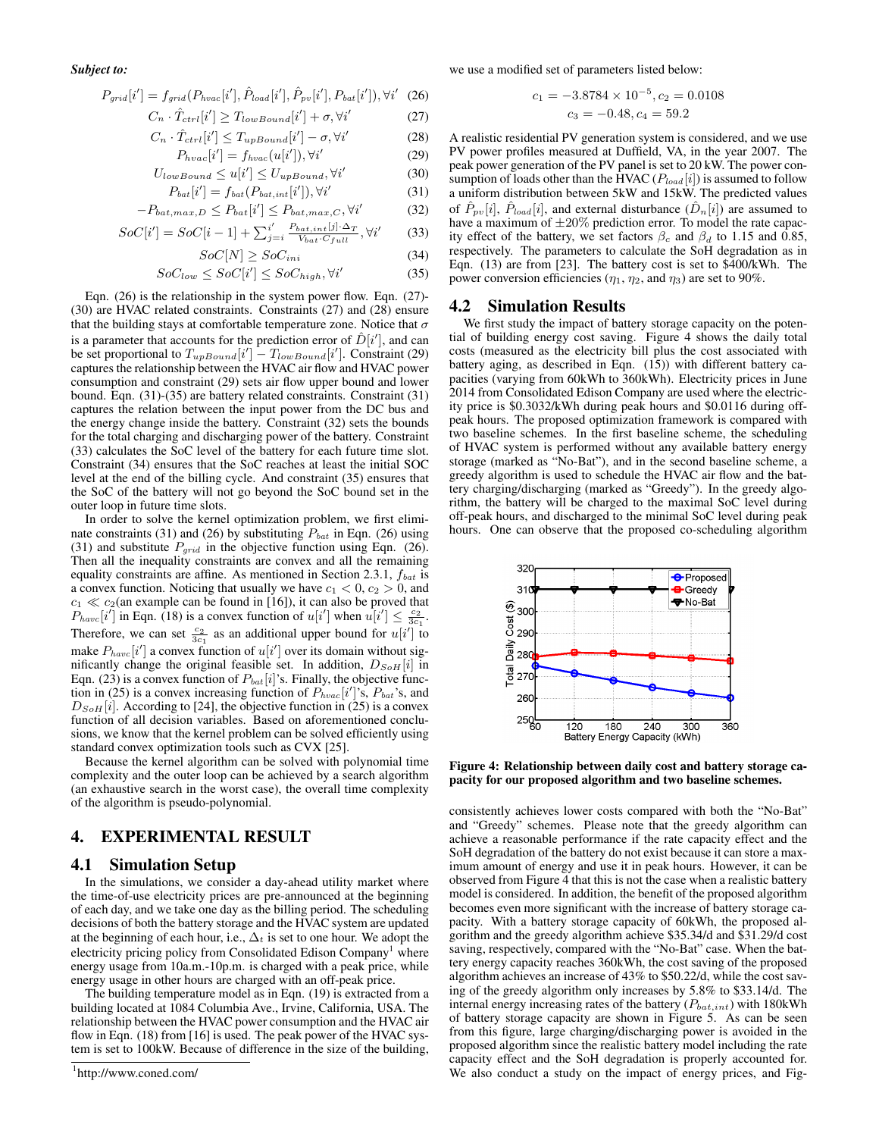#### *Subject to:*

$$
P_{grid}[i'] = f_{grid}(P_{hvac}[i'], \hat{P}_{load}[i'], \hat{P}_{pv}[i'], P_{bat}[i']), \forall i' \quad (26)
$$

$$
C_n \cdot \hat{T}_{ctrl}[i'] \ge T_{lowBound}[i'] + \sigma, \forall i'
$$
 (27)

$$
C_n \cdot \hat{T}_{ctrl}[i'] \le T_{upBound}[i'] - \sigma, \forall i'
$$
\n
$$
P_{buc}[i'] = f_{buc}(u[i']) \cdot \forall i'
$$
\n(29)

$$
P_{hvac}[i'] = f_{hvac}(u[i'], \forall i'
$$
\n
$$
U_{t} = \langle \langle \langle \langle u[i' \rangle \rangle \rangle \rangle \langle U_{t} \rangle = \langle \langle \langle u[i' \rangle \rangle \rangle \langle U_{t} \rangle \langle U_{t} \rangle = \langle \langle \langle u[i' \rangle \rangle \rangle \langle U_{t} \rangle
$$
\n
$$
(3)
$$

$$
U_{lowBound} \le u[i'] \le U_{upBound}, \forall i'
$$
(30)  

$$
B_{1i'} = f \quad (B_{1i'}]) \quad \forall i'
$$
(31)

$$
P_{bat}[i'] = f_{bat}(P_{bat,int}[i']) , \forall i'
$$
\n
$$
= \langle P_{bat}[i'] \rangle \langle P_{bat, int}[i'] \rangle
$$
\n
$$
(31)
$$
\n
$$
(32)
$$

$$
-P_{bat,max,D} \le P_{bat}[i'] \le P_{bat,max,C}, \forall i'
$$
(32)  

$$
SoC[i'] = SoC[i-1] + \sum_{i'} \frac{P_{bat,init}[j] \cdot \Delta_T}{P_{bat,init}[j] \cdot \Delta_T}, \forall i'
$$
(33)

$$
[i'] = Soc[i-1] + \sum_{j=i}^{i'} \frac{P_{bat, int}[j] \cdot \Delta_T}{V_{bat} \cdot C_{full}}, \forall i'
$$
 (33)

 $SoC[N] \ge SoC_{ini}$  (34)

$$
SoC_{low} \le SoC[i'] \le SoC_{high}, \forall i'
$$
\n(35)

Eqn. (26) is the relationship in the system power flow. Eqn. (27)- (30) are HVAC related constraints. Constraints (27) and (28) ensure that the building stays at comfortable temperature zone. Notice that  $\sigma$ is a parameter that accounts for the prediction error of  $\hat{D}[i']$ , and can be set proportional to  $T_{upBound}[i'] - T_{lowBound}[i']$ . Constraint (29) captures the relationship between the HVAC air flow and HVAC power consumption and constraint (29) sets air flow upper bound and lower bound. Eqn. (31)-(35) are battery related constraints. Constraint (31) captures the relation between the input power from the DC bus and the energy change inside the battery. Constraint (32) sets the bounds for the total charging and discharging power of the battery. Constraint (33) calculates the SoC level of the battery for each future time slot. Constraint (34) ensures that the SoC reaches at least the initial SOC level at the end of the billing cycle. And constraint (35) ensures that the SoC of the battery will not go beyond the SoC bound set in the outer loop in future time slots.

In order to solve the kernel optimization problem, we first eliminate constraints (31) and (26) by substituting  $P_{bat}$  in Eqn. (26) using (31) and substitute  $P_{grid}$  in the objective function using Eqn. (26). Then all the inequality constraints are convex and all the remaining equality constraints are affine. As mentioned in Section 2.3.1,  $f_{bat}$  is a convex function. Noticing that usually we have  $c_1 < 0$ ,  $c_2 > 0$ , and  $c_1 \ll c_2$  (an example can be found in [16]), it can also be proved that  $\overline{P}_{have}[i']$  in Eqn. (18) is a convex function of  $u[i']$  when  $\overline{u}[i'] \leq \frac{c_2}{3c_1}$ . Therefore, we can set  $\frac{c_2}{3c_1}$  as an additional upper bound for  $u[i']$  to make  $P_{have}[i']$  a convex function of  $u[i']$  over its domain without significantly change the original feasible set. In addition,  $D_{SoH}[i]$  in Eqn. (23) is a convex function of  $P_{bat}[i]$ 's. Finally, the objective function in (25) is a convex increasing function of  $P_{hvac}[i']$ 's,  $P_{bat}$ 's, and  $D_{SoH}[i]$ . According to [24], the objective function in (25) is a convex function of all decision variables. Based on aforementioned conclusions, we know that the kernel problem can be solved efficiently using standard convex optimization tools such as CVX [25].

Because the kernel algorithm can be solved with polynomial time complexity and the outer loop can be achieved by a search algorithm (an exhaustive search in the worst case), the overall time complexity of the algorithm is pseudo-polynomial.

# 4. EXPERIMENTAL RESULT

#### 4.1 Simulation Setup

In the simulations, we consider a day-ahead utility market where the time-of-use electricity prices are pre-announced at the beginning of each day, and we take one day as the billing period. The scheduling decisions of both the battery storage and the HVAC system are updated at the beginning of each hour, i.e.,  $\Delta_t$  is set to one hour. We adopt the electricity pricing policy from Consolidated Edison Company<sup>1</sup> where energy usage from 10a.m.-10p.m. is charged with a peak price, while energy usage in other hours are charged with an off-peak price.

The building temperature model as in Eqn. (19) is extracted from a building located at 1084 Columbia Ave., Irvine, California, USA. The relationship between the HVAC power consumption and the HVAC air flow in Eqn. (18) from [16] is used. The peak power of the HVAC system is set to 100kW. Because of difference in the size of the building,

we use a modified set of parameters listed below:

$$
c_1 = -3.8784 \times 10^{-5}, c_2 = 0.0108
$$
  

$$
c_3 = -0.48, c_4 = 59.2
$$

A realistic residential PV generation system is considered, and we use PV power profiles measured at Duffield, VA, in the year 2007. The peak power generation of the PV panel is set to 20 kW. The power consumption of loads other than the HVAC ( $P_{load}[i]$ ) is assumed to follow a uniform distribution between 5kW and 15kW. The predicted values of  $\hat{P}_{pv}[i]$ ,  $\hat{P}_{load}[i]$ , and external disturbance  $(\hat{D}_n[i])$  are assumed to have a maximum of  $\pm 20\%$  prediction error. To model the rate capacity effect of the battery, we set factors  $\beta_c$  and  $\beta_d$  to 1.15 and 0.85, respectively. The parameters to calculate the SoH degradation as in Eqn. (13) are from [23]. The battery cost is set to \$400/kWh. The power conversion efficiencies ( $\eta_1$ ,  $\eta_2$ , and  $\eta_3$ ) are set to 90%.

#### 4.2 Simulation Results

We first study the impact of battery storage capacity on the potential of building energy cost saving. Figure 4 shows the daily total costs (measured as the electricity bill plus the cost associated with battery aging, as described in Eqn. (15)) with different battery capacities (varying from 60kWh to 360kWh). Electricity prices in June 2014 from Consolidated Edison Company are used where the electricity price is \$0.3032/kWh during peak hours and \$0.0116 during offpeak hours. The proposed optimization framework is compared with two baseline schemes. In the first baseline scheme, the scheduling of HVAC system is performed without any available battery energy storage (marked as "No-Bat"), and in the second baseline scheme, a greedy algorithm is used to schedule the HVAC air flow and the battery charging/discharging (marked as "Greedy"). In the greedy algorithm, the battery will be charged to the maximal SoC level during off-peak hours, and discharged to the minimal SoC level during peak hours. One can observe that the proposed co-scheduling algorithm



Figure 4: Relationship between daily cost and battery storage capacity for our proposed algorithm and two baseline schemes.

consistently achieves lower costs compared with both the "No-Bat" and "Greedy" schemes. Please note that the greedy algorithm can achieve a reasonable performance if the rate capacity effect and the SoH degradation of the battery do not exist because it can store a maximum amount of energy and use it in peak hours. However, it can be observed from Figure 4 that this is not the case when a realistic battery model is considered. In addition, the benefit of the proposed algorithm becomes even more significant with the increase of battery storage capacity. With a battery storage capacity of 60kWh, the proposed algorithm and the greedy algorithm achieve \$35.34/d and \$31.29/d cost saving, respectively, compared with the "No-Bat" case. When the battery energy capacity reaches 360kWh, the cost saving of the proposed algorithm achieves an increase of 43% to \$50.22/d, while the cost saving of the greedy algorithm only increases by 5.8% to \$33.14/d. The internal energy increasing rates of the battery  $(P_{bat,int})$  with 180kWh of battery storage capacity are shown in Figure 5. As can be seen from this figure, large charging/discharging power is avoided in the proposed algorithm since the realistic battery model including the rate capacity effect and the SoH degradation is properly accounted for. We also conduct a study on the impact of energy prices, and Fig-

<sup>1</sup> http://www.coned.com/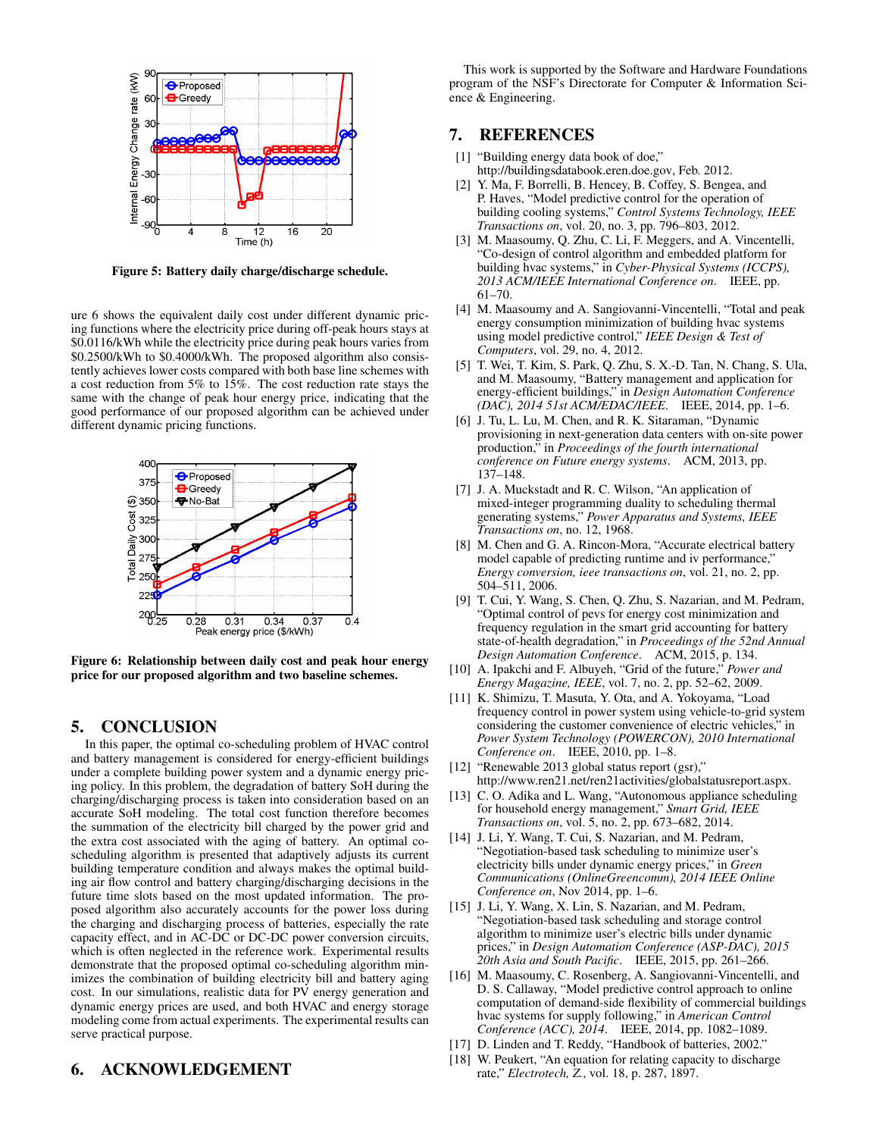

Figure 5: Battery daily charge/discharge schedule.

ure 6 shows the equivalent daily cost under different dynamic pricing functions where the electricity price during off-peak hours stays at \$0.0116/kWh while the electricity price during peak hours varies from \$0.2500/kWh to \$0.4000/kWh. The proposed algorithm also consistently achieves lower costs compared with both base line schemes with a cost reduction from 5% to 15%. The cost reduction rate stays the same with the change of peak hour energy price, indicating that the good performance of our proposed algorithm can be achieved under different dynamic pricing functions.



Figure 6: Relationship between daily cost and peak hour energy price for our proposed algorithm and two baseline schemes.

# 5. CONCLUSION

In this paper, the optimal co-scheduling problem of HVAC control and battery management is considered for energy-efficient buildings under a complete building power system and a dynamic energy pricing policy. In this problem, the degradation of battery SoH during the charging/discharging process is taken into consideration based on an accurate SoH modeling. The total cost function therefore becomes the summation of the electricity bill charged by the power grid and the extra cost associated with the aging of battery. An optimal coscheduling algorithm is presented that adaptively adjusts its current building temperature condition and always makes the optimal building air flow control and battery charging/discharging decisions in the future time slots based on the most updated information. The proposed algorithm also accurately accounts for the power loss during the charging and discharging process of batteries, especially the rate capacity effect, and in AC-DC or DC-DC power conversion circuits, which is often neglected in the reference work. Experimental results demonstrate that the proposed optimal co-scheduling algorithm minimizes the combination of building electricity bill and battery aging cost. In our simulations, realistic data for PV energy generation and dynamic energy prices are used, and both HVAC and energy storage modeling come from actual experiments. The experimental results can serve practical purpose.

# 6. ACKNOWLEDGEMENT

This work is supported by the Software and Hardware Foundations program of the NSF's Directorate for Computer & Information Science & Engineering.

# 7. REFERENCES

- [1] "Building energy data book of doe," http://buildingsdatabook.eren.doe.gov, Feb. 2012.
- [2] Y. Ma, F. Borrelli, B. Hencey, B. Coffey, S. Bengea, and P. Haves, "Model predictive control for the operation of building cooling systems," *Control Systems Technology, IEEE Transactions on*, vol. 20, no. 3, pp. 796–803, 2012.
- [3] M. Maasoumy, Q. Zhu, C. Li, F. Meggers, and A. Vincentelli, "Co-design of control algorithm and embedded platform for building hvac systems," in *Cyber-Physical Systems (ICCPS), 2013 ACM/IEEE International Conference on*. IEEE, pp. 61–70.
- [4] M. Maasoumy and A. Sangiovanni-Vincentelli, "Total and peak energy consumption minimization of building hvac systems using model predictive control," *IEEE Design & Test of Computers*, vol. 29, no. 4, 2012.
- [5] T. Wei, T. Kim, S. Park, Q. Zhu, S. X.-D. Tan, N. Chang, S. Ula, and M. Maasoumy, "Battery management and application for energy-efficient buildings," in *Design Automation Conference (DAC), 2014 51st ACM/EDAC/IEEE*. IEEE, 2014, pp. 1–6.
- [6] J. Tu, L. Lu, M. Chen, and R. K. Sitaraman, "Dynamic provisioning in next-generation data centers with on-site power production," in *Proceedings of the fourth international conference on Future energy systems*. ACM, 2013, pp. 137–148.
- [7] J. A. Muckstadt and R. C. Wilson, "An application of mixed-integer programming duality to scheduling thermal generating systems," *Power Apparatus and Systems, IEEE Transactions on*, no. 12, 1968.
- [8] M. Chen and G. A. Rincon-Mora, "Accurate electrical battery model capable of predicting runtime and iv performance," *Energy conversion, ieee transactions on*, vol. 21, no. 2, pp. 504–511, 2006.
- [9] T. Cui, Y. Wang, S. Chen, Q. Zhu, S. Nazarian, and M. Pedram, "Optimal control of pevs for energy cost minimization and frequency regulation in the smart grid accounting for battery state-of-health degradation," in *Proceedings of the 52nd Annual Design Automation Conference*. ACM, 2015, p. 134.
- [10] A. Ipakchi and F. Albuyeh, "Grid of the future," *Power and Energy Magazine, IEEE*, vol. 7, no. 2, pp. 52–62, 2009.
- [11] K. Shimizu, T. Masuta, Y. Ota, and A. Yokoyama, "Load frequency control in power system using vehicle-to-grid system considering the customer convenience of electric vehicles," in *Power System Technology (POWERCON), 2010 International Conference on*. IEEE, 2010, pp. 1–8.
- [12] "Renewable 2013 global status report (gsr)," http://www.ren21.net/ren21activities/globalstatusreport.aspx.
- [13] C. O. Adika and L. Wang, "Autonomous appliance scheduling for household energy management," *Smart Grid, IEEE Transactions on*, vol. 5, no. 2, pp. 673–682, 2014.
- [14] J. Li, Y. Wang, T. Cui, S. Nazarian, and M. Pedram, "Negotiation-based task scheduling to minimize user's electricity bills under dynamic energy prices," in *Green Communications (OnlineGreencomm), 2014 IEEE Online Conference on*, Nov 2014, pp. 1–6.
- [15] J. Li, Y. Wang, X. Lin, S. Nazarian, and M. Pedram, "Negotiation-based task scheduling and storage control algorithm to minimize user's electric bills under dynamic prices," in *Design Automation Conference (ASP-DAC), 2015 20th Asia and South Pacific*. IEEE, 2015, pp. 261–266.
- [16] M. Maasoumy, C. Rosenberg, A. Sangiovanni-Vincentelli, and D. S. Callaway, "Model predictive control approach to online computation of demand-side flexibility of commercial buildings hvac systems for supply following," in *American Control Conference (ACC), 2014*. IEEE, 2014, pp. 1082–1089.
- [17] D. Linden and T. Reddy, "Handbook of batteries, 2002."
- [18] W. Peukert, "An equation for relating capacity to discharge rate," *Electrotech, Z.*, vol. 18, p. 287, 1897.